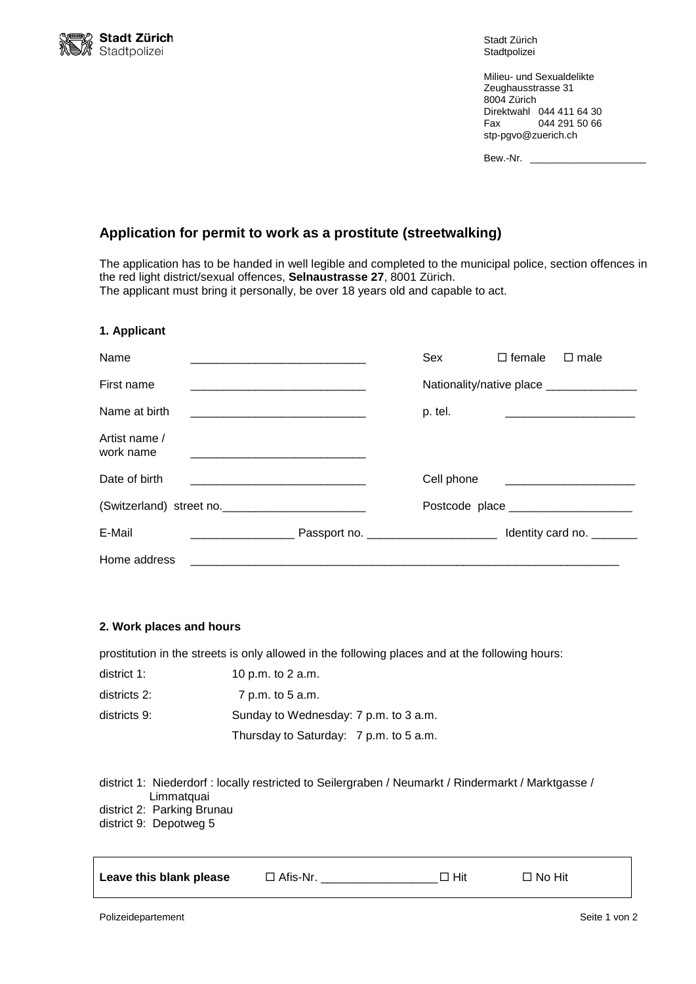

Stadt Zürich **Stadtpolizei** 

Milieu- und Sexualdelikte Zeughausstrasse 31 8004 Zürich Direktwahl 044 411 64 30 Fax 044 291 50 66 stp-pgvo@zuerich.ch

| Bew.-Nr. |  |  |
|----------|--|--|
|          |  |  |

# **Application for permit to work as a prostitute (streetwalking)**

The application has to be handed in well legible and completed to the municipal police, section offences in the red light district/sexual offences, **Selnaustrasse 27**, 8001 Zürich. The applicant must bring it personally, be over 18 years old and capable to act.

#### **1. Applicant**

| Name                       |  |                                           | Sex        | $\Box$ female | $\Box$ male                                                |
|----------------------------|--|-------------------------------------------|------------|---------------|------------------------------------------------------------|
| First name                 |  | Nationality/native place ________________ |            |               |                                                            |
| Name at birth              |  |                                           | p. tel.    |               |                                                            |
| Artist name /<br>work name |  |                                           |            |               |                                                            |
| Date of birth              |  |                                           | Cell phone |               | <u> 1980 - Jan James James Barnett, fransk politiker (</u> |
| (Switzerland) street no.   |  |                                           |            |               |                                                            |
| E-Mail                     |  | Passport no. _________________________    |            |               | Identity card no. ________                                 |
| Home address               |  |                                           |            |               |                                                            |

#### **2. Work places and hours**

prostitution in the streets is only allowed in the following places and at the following hours:

| district 1:  | 10 p.m. to 2 a.m.                      |
|--------------|----------------------------------------|
| districts 2: | 7 p.m. to 5 a.m.                       |
| districts 9: | Sunday to Wednesday: 7 p.m. to 3 a.m.  |
|              | Thursday to Saturday: 7 p.m. to 5 a.m. |

| district 1: Niederdorf : locally restricted to Seilergraben / Neumarkt / Rindermarkt / Marktgasse / |
|-----------------------------------------------------------------------------------------------------|
| Limmatquai                                                                                          |
| district 2: Parking Brunau                                                                          |

district 9: Depotweg 5

| Leave this blank please | $\Box$ Afis-Nr. | $\Box$ Hit | $\Box$ No Hit |
|-------------------------|-----------------|------------|---------------|
|                         |                 |            |               |